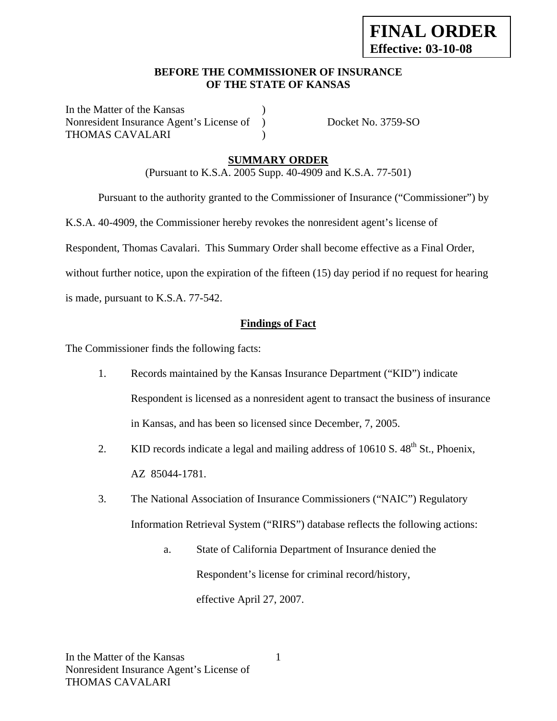#### **BEFORE THE COMMISSIONER OF INSURANCE OF THE STATE OF KANSAS**

In the Matter of the Kansas Nonresident Insurance Agent's License of ) Docket No. 3759-SO THOMAS CAVALARI (1992)

## **SUMMARY ORDER**

(Pursuant to K.S.A. 2005 Supp. 40-4909 and K.S.A. 77-501)

Pursuant to the authority granted to the Commissioner of Insurance ("Commissioner") by

K.S.A. 40-4909, the Commissioner hereby revokes the nonresident agent's license of

Respondent, Thomas Cavalari. This Summary Order shall become effective as a Final Order,

without further notice, upon the expiration of the fifteen (15) day period if no request for hearing

is made, pursuant to K.S.A. 77-542.

#### **Findings of Fact**

The Commissioner finds the following facts:

- 1. Records maintained by the Kansas Insurance Department ("KID") indicate Respondent is licensed as a nonresident agent to transact the business of insurance in Kansas, and has been so licensed since December, 7, 2005.
- 2. KID records indicate a legal and mailing address of  $10610 S$ .  $48<sup>th</sup> St$ ., Phoenix, AZ 85044-1781.
- 3. The National Association of Insurance Commissioners ("NAIC") Regulatory Information Retrieval System ("RIRS") database reflects the following actions:
	- a. State of California Department of Insurance denied the Respondent's license for criminal record/history, effective April 27, 2007.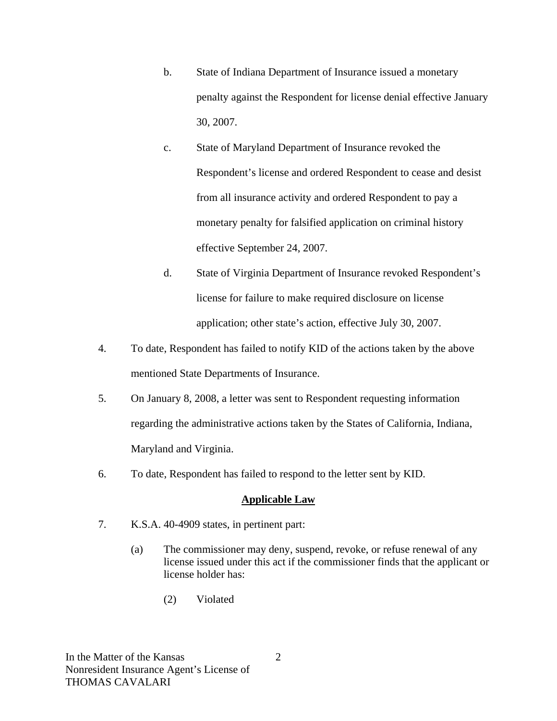- b. State of Indiana Department of Insurance issued a monetary penalty against the Respondent for license denial effective January 30, 2007.
- c. State of Maryland Department of Insurance revoked the Respondent's license and ordered Respondent to cease and desist from all insurance activity and ordered Respondent to pay a monetary penalty for falsified application on criminal history effective September 24, 2007.
- d. State of Virginia Department of Insurance revoked Respondent's license for failure to make required disclosure on license application; other state's action, effective July 30, 2007.
- 4. To date, Respondent has failed to notify KID of the actions taken by the above mentioned State Departments of Insurance.
- 5. On January 8, 2008, a letter was sent to Respondent requesting information regarding the administrative actions taken by the States of California, Indiana, Maryland and Virginia.
- 6. To date, Respondent has failed to respond to the letter sent by KID.

## **Applicable Law**

- 7. K.S.A. 40-4909 states, in pertinent part:
	- (a) The commissioner may deny, suspend, revoke, or refuse renewal of any license issued under this act if the commissioner finds that the applicant or license holder has:
		- (2) Violated

2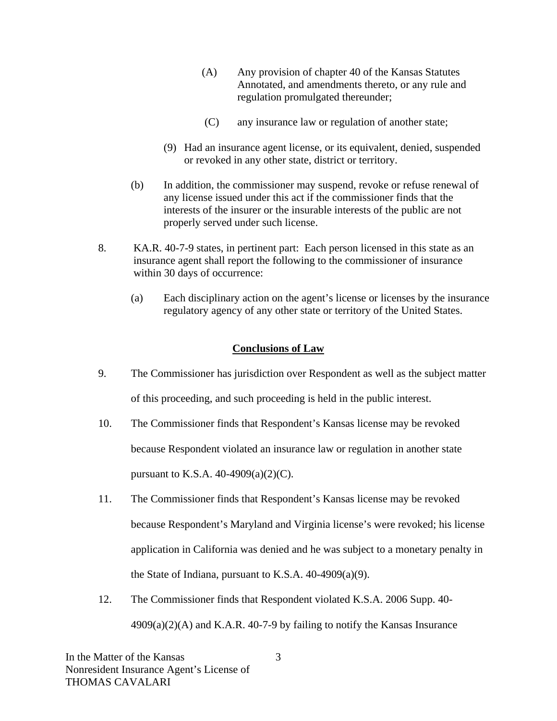- (A) Any provision of chapter 40 of the Kansas Statutes Annotated, and amendments thereto, or any rule and regulation promulgated thereunder;
- (C) any insurance law or regulation of another state;
- (9) Had an insurance agent license, or its equivalent, denied, suspended or revoked in any other state, district or territory.
- (b) In addition, the commissioner may suspend, revoke or refuse renewal of any license issued under this act if the commissioner finds that the interests of the insurer or the insurable interests of the public are not properly served under such license.
- 8. KA.R. 40-7-9 states, in pertinent part: Each person licensed in this state as an insurance agent shall report the following to the commissioner of insurance within 30 days of occurrence:
	- (a) Each disciplinary action on the agent's license or licenses by the insurance regulatory agency of any other state or territory of the United States.

## **Conclusions of Law**

- 9. The Commissioner has jurisdiction over Respondent as well as the subject matter of this proceeding, and such proceeding is held in the public interest.
- 10. The Commissioner finds that Respondent's Kansas license may be revoked because Respondent violated an insurance law or regulation in another state pursuant to K.S.A.  $40-4909(a)(2)(C)$ .
- 11. The Commissioner finds that Respondent's Kansas license may be revoked because Respondent's Maryland and Virginia license's were revoked; his license application in California was denied and he was subject to a monetary penalty in the State of Indiana, pursuant to K.S.A.  $40-4909(a)(9)$ .
- 12. The Commissioner finds that Respondent violated K.S.A. 2006 Supp. 40-  $4909(a)(2)(A)$  and K.A.R. 40-7-9 by failing to notify the Kansas Insurance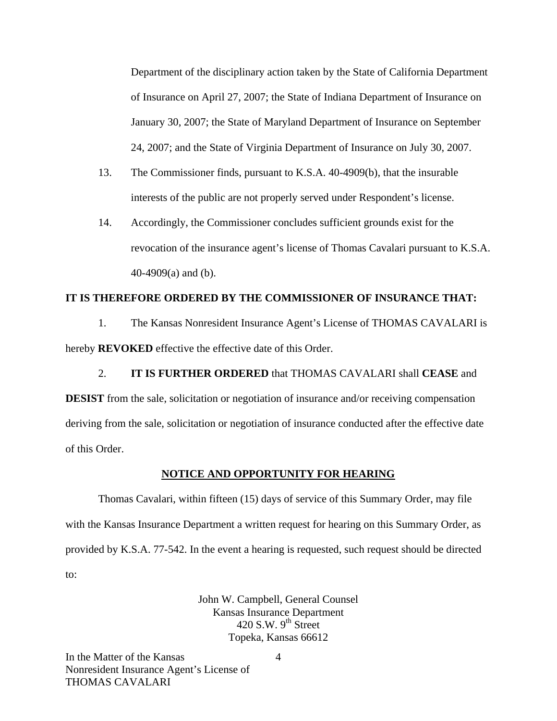Department of the disciplinary action taken by the State of California Department of Insurance on April 27, 2007; the State of Indiana Department of Insurance on January 30, 2007; the State of Maryland Department of Insurance on September 24, 2007; and the State of Virginia Department of Insurance on July 30, 2007.

- 13. The Commissioner finds, pursuant to K.S.A. 40-4909(b), that the insurable interests of the public are not properly served under Respondent's license.
- 14. Accordingly, the Commissioner concludes sufficient grounds exist for the revocation of the insurance agent's license of Thomas Cavalari pursuant to K.S.A. 40-4909(a) and (b).

#### **IT IS THEREFORE ORDERED BY THE COMMISSIONER OF INSURANCE THAT:**

1. The Kansas Nonresident Insurance Agent's License of THOMAS CAVALARI is hereby **REVOKED** effective the effective date of this Order.

2. **IT IS FURTHER ORDERED** that THOMAS CAVALARI shall **CEASE** and **DESIST** from the sale, solicitation or negotiation of insurance and/or receiving compensation deriving from the sale, solicitation or negotiation of insurance conducted after the effective date of this Order.

#### **NOTICE AND OPPORTUNITY FOR HEARING**

Thomas Cavalari, within fifteen (15) days of service of this Summary Order, may file with the Kansas Insurance Department a written request for hearing on this Summary Order, as provided by K.S.A. 77-542. In the event a hearing is requested, such request should be directed to:

> John W. Campbell, General Counsel Kansas Insurance Department 420 S.W.  $9<sup>th</sup>$  Street Topeka, Kansas 66612

In the Matter of the Kansas Nonresident Insurance Agent's License of THOMAS CAVALARI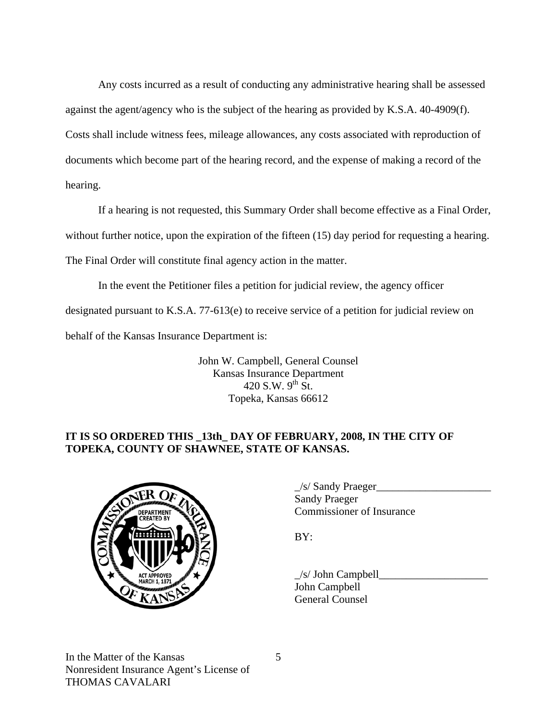Any costs incurred as a result of conducting any administrative hearing shall be assessed against the agent/agency who is the subject of the hearing as provided by K.S.A. 40-4909(f). Costs shall include witness fees, mileage allowances, any costs associated with reproduction of documents which become part of the hearing record, and the expense of making a record of the hearing.

If a hearing is not requested, this Summary Order shall become effective as a Final Order, without further notice, upon the expiration of the fifteen (15) day period for requesting a hearing. The Final Order will constitute final agency action in the matter.

In the event the Petitioner files a petition for judicial review, the agency officer designated pursuant to K.S.A. 77-613(e) to receive service of a petition for judicial review on behalf of the Kansas Insurance Department is:

> John W. Campbell, General Counsel Kansas Insurance Department 420 S.W.  $9^{th}$  St. Topeka, Kansas 66612

# **IT IS SO ORDERED THIS \_13th\_ DAY OF FEBRUARY, 2008, IN THE CITY OF TOPEKA, COUNTY OF SHAWNEE, STATE OF KANSAS.**



|                                                       | /s/ Sandy Praeger                |
|-------------------------------------------------------|----------------------------------|
| $\sqrt{F}R$<br><b>DEPARTMENT</b><br><b>COEATED BY</b> | <b>Sandy Praeger</b>             |
|                                                       | <b>Commissioner of Insurance</b> |

 $\angle$ s/ John Campbell John Campbell General Counsel

In the Matter of the Kansas Nonresident Insurance Agent's License of THOMAS CAVALARI

5